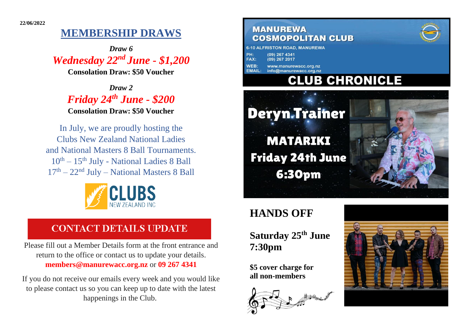# **MEMBERSHIP DRAWS**

*Draw 6 Wednesday 22nd June - \$1,200*

**Consolation Draw: \$50 Voucher**

*Draw 2 Friday 24 th June - \$200* **Consolation Draw: \$50 Voucher**

In July, we are proudly hosting the Clubs New Zealand National Ladies and National Masters 8 Ball Tournaments.  $10^{th} - 15^{th}$  July - National Ladies 8 Ball  $17<sup>th</sup> - 22<sup>nd</sup> July - National Masters 8 Ball$ 



## **CONTACT DETAILS UPDATE**

Please fill out a Member Details form at the front entrance and return to the office or contact us to update your details. **members@manurewacc.org.nz** or **09 267 4341**

If you do not receive our emails every week and you would like to please contact us so you can keep up to date with the latest happenings in the Club.

### **MANUREWA COSMOPOLITAN CLUB**

|             | <b>10 ALFRISTON ROAD. MANUREW.</b> |
|-------------|------------------------------------|
| PH:         | $(09)$ 267 4341                    |
| <b>FAX:</b> | $(09)$ 267 2017                    |
| VEB:        | www.manurewacc.org.nz              |

info@manurewacc.org.nz **CLUB CHRONICLE** 



# **HANDS OFF**

### **Saturday 25th June 7:30pm**

**\$5 cover charge for all non-members**





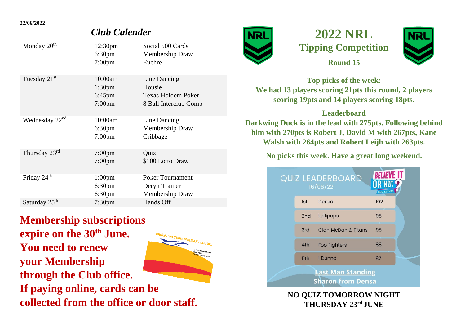#### **22/06/2022**

### *Club Calender*

| Monday 20 <sup>th</sup>    | 12:30 <sub>pm</sub><br>6:30 <sub>pm</sub><br>$7:00$ pm         | Social 500 Cards<br>Membership Draw<br>Euchre                         |
|----------------------------|----------------------------------------------------------------|-----------------------------------------------------------------------|
| Tuesday 21 <sup>st</sup>   | 10:00am<br>1:30 <sub>pm</sub><br>$6:45$ pm<br>7:00pm           | Line Dancing<br>Housie<br>Texas Holdem Poker<br>8 Ball Interclub Comp |
| Wednesday 22 <sup>nd</sup> | 10:00am<br>6:30 <sub>pm</sub><br>$7:00$ pm                     | Line Dancing<br>Membership Draw<br>Cribbage                           |
| Thursday 23rd              | $7:00$ pm<br>$7:00$ pm                                         | Quiz<br>\$100 Lotto Draw                                              |
| Friday 24 <sup>th</sup>    | 1:00 <sub>pm</sub><br>6:30 <sub>pm</sub><br>6:30 <sub>pm</sub> | <b>Poker Tournament</b><br>Deryn Trainer<br>Membership Draw           |
| Saturday 25 <sup>th</sup>  | 7:30 <sub>pm</sub>                                             | Hands Off                                                             |

**Membership subscriptions expire on the 30th June.**  COSMOPOLITAN CLUB Inc. **You need to renew your Membership through the Club office. If paying online, cards can be collected from the office or door staff.**



## **2022 NRL Tipping Competition Round 15**



**Top picks of the week: We had 13 players scoring 21pts this round, 2 players scoring 19pts and 14 players scoring 18pts.**

### **Leaderboard**

**Darkwing Duck is in the lead with 275pts. Following behind him with 270pts is Robert J, David M with 267pts, Kane Walsh with 264pts and Robert Leijh with 263pts.**

### **No picks this week. Have a great long weekend.**

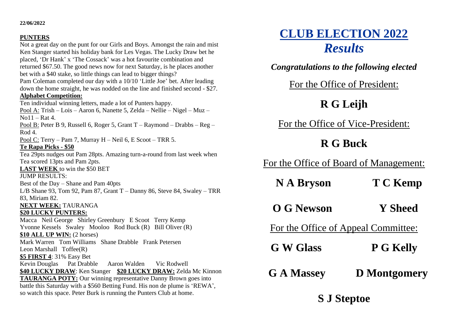#### **22/06/2022**

#### **PUNTERS**

Not a great day on the punt for our Girls and Boys. Amongst the rain and mist Ken Stanger started his holiday bank for Les Vegas. The Lucky Draw bet he placed, 'Dr Hank' x 'The Cossack' was a hot favourite combination and returned \$67.50. The good news now for next Saturday, is he places another bet with a \$40 stake, so little things can lead to bigger things? Pam Coleman completed our day with a 10/10 'Little Joe' bet. After leading down the home straight, he was nodded on the line and finished second - \$27. **Alphabet Competition:** Ten individual winning letters, made a lot of Punters happy. Pool A: Trish – Lois – Aaron 6, Nanette 5, Zelda – Nellie – Nigel – Muz –  $N_0$ 11 – Rat 4. Pool B: Peter B 9, Russell 6, Roger 5, Grant T – Raymond – Drabbs – Reg – Rod 4. Pool C: Terry – Pam 7, Murray H – Neil 6, E Scoot – TRR 5. **Te Rapa Picks - \$50**  Tea 29pts nudges out Pam 28pts. Amazing turn-a-round from last week when Tea scored 13pts and Pam 2pts. **LAST WEEK** to win the \$50 BET JUMP RESULTS: Best of the Day – Shane and Pam 40pts L/B Shane 93, Tom 92, Pam 87, Grant T – Danny 86, Steve 84, Swaley – TRR 83, Miriam 82. **NEXT WEEK:** TAURANGA **\$20 LUCKY PUNTERS:** Macca Neil George Shirley Greenbury E Scoot Terry Kemp Yvonne Kessels Swaley Mooloo Rod Buck (R) Bill Oliver (R) **\$10 ALL UP WIN:** (2 horses) Mark Warren Tom Williams Shane Drabble Frank Petersen Leon Marshall Toffee(R) **\$5 FIRST 4**: 31% Easy Bet Kevin Douglas Pat Drabble Aaron Walden Vic Rodwell **\$40 LUCKY DRAW**: Ken Stanger **\$20 LUCKY DRAW:** Zelda Mc Kinnon **TAURANGA POTY:** Our winning representative Danny Brown goes into battle this Saturday with a \$560 Betting Fund. His non de plume is 'REWA', so watch this space. Peter Burk is running the Punters Club at home.

# **CLUB ELECTION 2022** *Results*

*Congratulations to the following elected*

For the Office of President:

## **R G Leijh**

For the Office of Vice-President:

## **R G Buck**

For the Office of Board of Management:

| <b>NA Bryson</b> | <b>T C Kemp</b> |
|------------------|-----------------|
|------------------|-----------------|

**O G Newson Y Sheed**

For the Office of Appeal Committee:

- **G W Glass P G Kelly**
- **G A Massey D Montgomery**

**S J Steptoe**